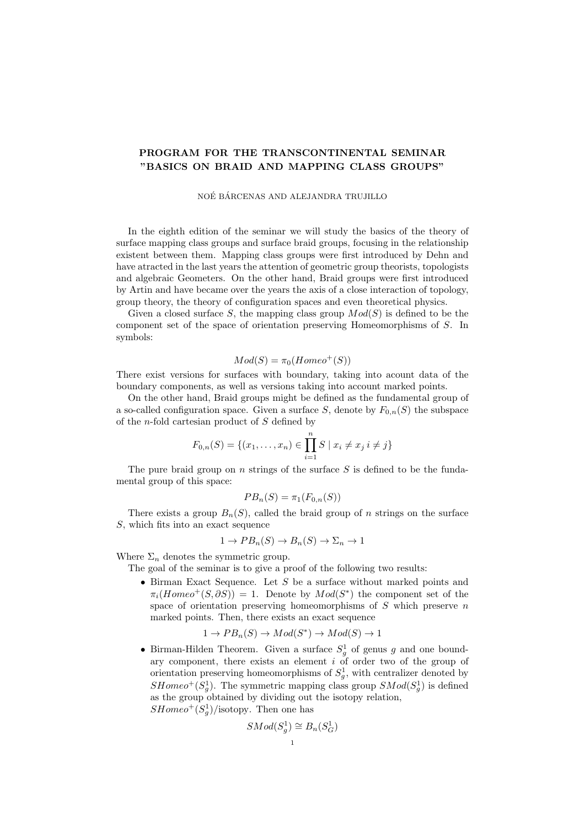## PROGRAM FOR THE TRANSCONTINENTAL SEMINAR "BASICS ON BRAID AND MAPPING CLASS GROUPS"

## NOÉ BÁRCENAS AND ALEJANDRA TRUJILLO

In the eighth edition of the seminar we will study the basics of the theory of surface mapping class groups and surface braid groups, focusing in the relationship existent between them. Mapping class groups were first introduced by Dehn and have atracted in the last years the attention of geometric group theorists, topologists and algebraic Geometers. On the other hand, Braid groups were first introduced by Artin and have became over the years the axis of a close interaction of topology, group theory, the theory of configuration spaces and even theoretical physics.

Given a closed surface S, the mapping class group  $Mod(S)$  is defined to be the component set of the space of orientation preserving Homeomorphisms of S. In symbols:

$$
Mod(S) = \pi_0(Homeo^+(S))
$$

There exist versions for surfaces with boundary, taking into acount data of the boundary components, as well as versions taking into account marked points.

On the other hand, Braid groups might be defined as the fundamental group of a so-called configuration space. Given a surface S, denote by  $F_{0,n}(S)$  the subspace of the *n*-fold cartesian product of  $S$  defined by

$$
F_{0,n}(S) = \{(x_1, \ldots, x_n) \in \prod_{i=1}^n S \mid x_i \neq x_j \ i \neq j\}
$$

The pure braid group on  $n$  strings of the surface  $S$  is defined to be the fundamental group of this space:

$$
PB_n(S) = \pi_1(F_{0,n}(S))
$$

There exists a group  $B_n(S)$ , called the braid group of n strings on the surface S, which fits into an exact sequence

$$
1 \to PB_n(S) \to B_n(S) \to \Sigma_n \to 1
$$

Where  $\Sigma_n$  denotes the symmetric group.

The goal of the seminar is to give a proof of the following two results:

• Birman Exact Sequence. Let S be a surface without marked points and  $\pi_i(Homeo^+(S,\partial S)) = 1$ . Denote by  $Mod(S^*)$  the component set of the space of orientation preserving homeomorphisms of  $S$  which preserve  $n$ marked points. Then, there exists an exact sequence

$$
1 \to PB_n(S) \to Mod(S^*) \to Mod(S) \to 1
$$

• Birman-Hilden Theorem. Given a surface  $S_g^1$  of genus g and one boundary component, there exists an element i of order two of the group of orientation preserving homeomorphisms of  $S_g^1$ , with centralizer denoted by  $SHomeo^+(S_g^1)$ . The symmetric mapping class group  $SMod(S_g^1)$  is defined as the group obtained by dividing out the isotopy relation,  $SHomeo^+(S_g^1)/isotopy$ . Then one has

$$
SMod(S_g^1) \cong B_n(S_G^1)
$$